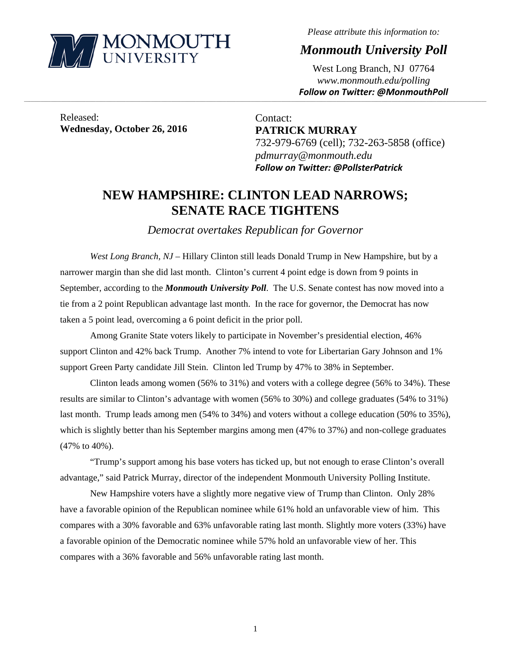

*Please attribute this information to:* 

*Monmouth University Poll* 

West Long Branch, NJ 07764 *www.monmouth.edu/polling Follow on Twitter: @MonmouthPoll*

Released: **Wednesday, October 26, 2016** 

Contact: **PATRICK MURRAY**  732-979-6769 (cell); 732-263-5858 (office) *pdmurray@monmouth.edu Follow on Twitter: @PollsterPatrick*

# **NEW HAMPSHIRE: CLINTON LEAD NARROWS; SENATE RACE TIGHTENS**

,一个人的人都是不是,我们的人都是不是,我们的人都是不是,我们的人都是不是,我们的人都是不是,我们的人都是不是,我们的人都是不是,我们的人都是不是,我们的人都是不

*Democrat overtakes Republican for Governor* 

*West Long Branch, NJ* – Hillary Clinton still leads Donald Trump in New Hampshire, but by a narrower margin than she did last month. Clinton's current 4 point edge is down from 9 points in September, according to the *Monmouth University Poll*. The U.S. Senate contest has now moved into a tie from a 2 point Republican advantage last month. In the race for governor, the Democrat has now taken a 5 point lead, overcoming a 6 point deficit in the prior poll.

 Among Granite State voters likely to participate in November's presidential election, 46% support Clinton and 42% back Trump. Another 7% intend to vote for Libertarian Gary Johnson and 1% support Green Party candidate Jill Stein. Clinton led Trump by 47% to 38% in September.

Clinton leads among women (56% to 31%) and voters with a college degree (56% to 34%). These results are similar to Clinton's advantage with women (56% to 30%) and college graduates (54% to 31%) last month. Trump leads among men (54% to 34%) and voters without a college education (50% to 35%), which is slightly better than his September margins among men (47% to 37%) and non-college graduates (47% to 40%).

"Trump's support among his base voters has ticked up, but not enough to erase Clinton's overall advantage," said Patrick Murray, director of the independent Monmouth University Polling Institute.

New Hampshire voters have a slightly more negative view of Trump than Clinton. Only 28% have a favorable opinion of the Republican nominee while 61% hold an unfavorable view of him. This compares with a 30% favorable and 63% unfavorable rating last month. Slightly more voters (33%) have a favorable opinion of the Democratic nominee while 57% hold an unfavorable view of her. This compares with a 36% favorable and 56% unfavorable rating last month.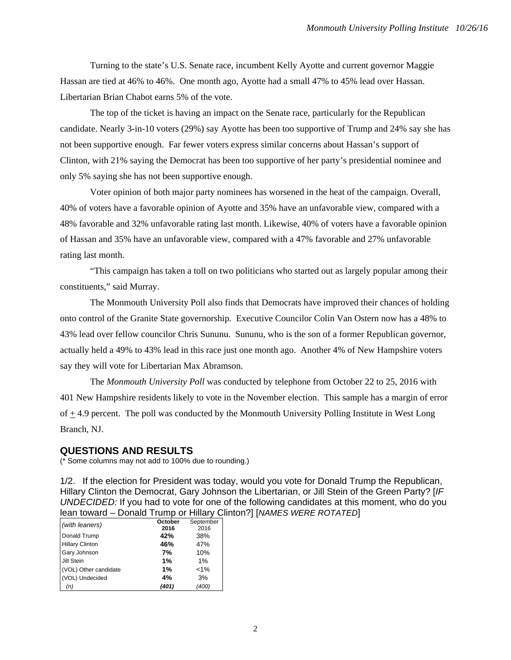Turning to the state's U.S. Senate race, incumbent Kelly Ayotte and current governor Maggie Hassan are tied at 46% to 46%. One month ago, Ayotte had a small 47% to 45% lead over Hassan. Libertarian Brian Chabot earns 5% of the vote.

 The top of the ticket is having an impact on the Senate race, particularly for the Republican candidate. Nearly 3-in-10 voters (29%) say Ayotte has been too supportive of Trump and 24% say she has not been supportive enough. Far fewer voters express similar concerns about Hassan's support of Clinton, with 21% saying the Democrat has been too supportive of her party's presidential nominee and only 5% saying she has not been supportive enough.

Voter opinion of both major party nominees has worsened in the heat of the campaign. Overall, 40% of voters have a favorable opinion of Ayotte and 35% have an unfavorable view, compared with a 48% favorable and 32% unfavorable rating last month. Likewise, 40% of voters have a favorable opinion of Hassan and 35% have an unfavorable view, compared with a 47% favorable and 27% unfavorable rating last month.

"This campaign has taken a toll on two politicians who started out as largely popular among their constituents," said Murray.

The Monmouth University Poll also finds that Democrats have improved their chances of holding onto control of the Granite State governorship. Executive Councilor Colin Van Ostern now has a 48% to 43% lead over fellow councilor Chris Sununu. Sununu, who is the son of a former Republican governor, actually held a 49% to 43% lead in this race just one month ago. Another 4% of New Hampshire voters say they will vote for Libertarian Max Abramson.

The *Monmouth University Poll* was conducted by telephone from October 22 to 25, 2016 with 401 New Hampshire residents likely to vote in the November election. This sample has a margin of error of + 4.9 percent. The poll was conducted by the Monmouth University Polling Institute in West Long Branch, NJ.

#### **QUESTIONS AND RESULTS**

(\* Some columns may not add to 100% due to rounding.)

1/2. If the election for President was today, would you vote for Donald Trump the Republican, Hillary Clinton the Democrat, Gary Johnson the Libertarian, or Jill Stein of the Green Party? [*IF UNDECIDED:* If you had to vote for one of the following candidates at this moment, who do you lean toward – Donald Trump or Hillary Clinton?] [*NAMES WERE ROTATED*]

|                        | October | September |
|------------------------|---------|-----------|
| (with leaners)         | 2016    | 2016      |
| Donald Trump           | 42%     | 38%       |
| <b>Hillary Clinton</b> | 46%     | 47%       |
| <b>Gary Johnson</b>    | 7%      | 10%       |
| Jill Stein             | 1%      | 1%        |
| (VOL) Other candidate  | 1%      | $1\%$     |
| (VOL) Undecided        | 4%      | 3%        |
| (n)                    | (401)   | (400)     |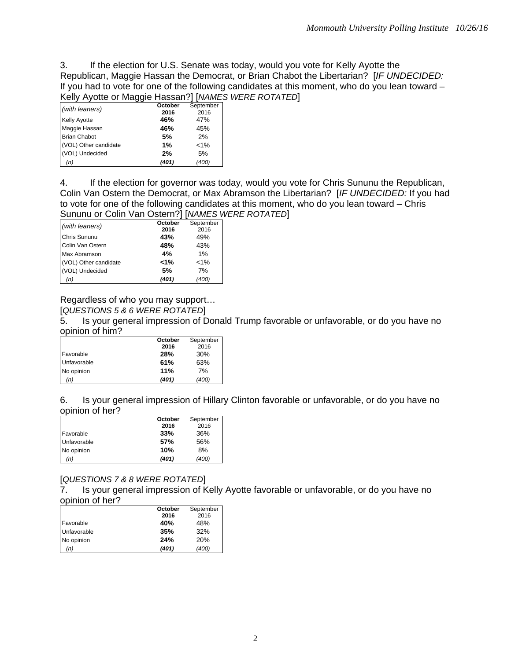3. If the election for U.S. Senate was today, would you vote for Kelly Ayotte the Republican, Maggie Hassan the Democrat, or Brian Chabot the Libertarian? [*IF UNDECIDED:*  If you had to vote for one of the following candidates at this moment, who do you lean toward – Kelly Ayotte or Maggie Hassan?] [*NAMES WERE ROTATED*]

|                       | ັບ      | . .       |
|-----------------------|---------|-----------|
| (with leaners)        | October | September |
|                       | 2016    | 2016      |
| <b>Kelly Ayotte</b>   | 46%     | 47%       |
| Maggie Hassan         | 46%     | 45%       |
| <b>Brian Chabot</b>   | 5%      | 2%        |
| (VOL) Other candidate | 1%      | $< 1\%$   |
| (VOL) Undecided       | 2%      | 5%        |
| (n)                   | (401)   | (400)     |

4. If the election for governor was today, would you vote for Chris Sununu the Republican, Colin Van Ostern the Democrat, or Max Abramson the Libertarian? [*IF UNDECIDED:* If you had to vote for one of the following candidates at this moment, who do you lean toward – Chris Sununu or Colin Van Ostern?] [*NAMES WERE ROTATED*]

| (with leaners)        | October | September |
|-----------------------|---------|-----------|
|                       | 2016    | 2016      |
| <b>Chris Sununu</b>   | 43%     | 49%       |
| Colin Van Ostern      | 48%     | 43%       |
| Max Abramson          | 4%      | 1%        |
| (VOL) Other candidate | 1%>     | $< 1\%$   |
| (VOL) Undecided       | 5%      | 7%        |
| (n)                   | (401)   | (400)     |

Regardless of who you may support…

[*QUESTIONS 5 & 6 WERE ROTATED*]

5. Is your general impression of Donald Trump favorable or unfavorable, or do you have no opinion of him?

|                  | October | September |
|------------------|---------|-----------|
|                  | 2016    | 2016      |
| <b>Favorable</b> | 28%     | 30%       |
| Unfavorable      | 61%     | 63%       |
| No opinion       | 11%     | 7%        |
| (n)              | (401)   | (400)     |

6. Is your general impression of Hillary Clinton favorable or unfavorable, or do you have no opinion of her?

|             | October | September |
|-------------|---------|-----------|
|             | 2016    | 2016      |
| Favorable   | 33%     | 36%       |
| Unfavorable | 57%     | 56%       |
| No opinion  | 10%     | 8%        |
| (n)         | (401)   | (400)     |

## [*QUESTIONS 7 & 8 WERE ROTATED*]

7. Is your general impression of Kelly Ayotte favorable or unfavorable, or do you have no opinion of her?

|             | October | September |
|-------------|---------|-----------|
|             | 2016    | 2016      |
| Favorable   | 40%     | 48%       |
| Unfavorable | 35%     | 32%       |
| No opinion  | 24%     | 20%       |
| (n)         | (401)   | (400)     |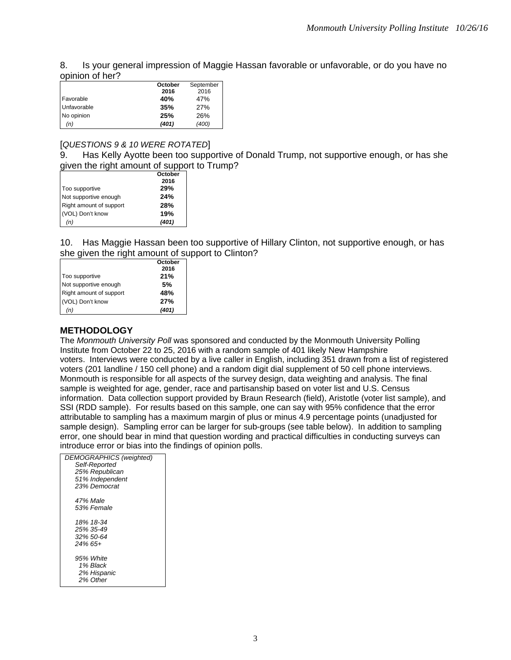8. Is your general impression of Maggie Hassan favorable or unfavorable, or do you have no opinion of her?

|             | October | September |
|-------------|---------|-----------|
|             | 2016    | 2016      |
| Favorable   | 40%     | 47%       |
| Unfavorable | 35%     | 27%       |
| No opinion  | 25%     | 26%       |
| (n)         | (401)   | (400)     |

#### [*QUESTIONS 9 & 10 WERE ROTATED*]

9. Has Kelly Ayotte been too supportive of Donald Trump, not supportive enough, or has she given the right amount of support to Trump?

|                         | October |
|-------------------------|---------|
|                         | 2016    |
| Too supportive          | 29%     |
| Not supportive enough   | 24%     |
| Right amount of support | 28%     |
| (VOL) Don't know        | 19%     |
| (n)                     | (401)   |

10. Has Maggie Hassan been too supportive of Hillary Clinton, not supportive enough, or has she given the right amount of support to Clinton?

|                         | October |
|-------------------------|---------|
|                         | 2016    |
| Too supportive          | 21%     |
| Not supportive enough   | 5%      |
| Right amount of support | 48%     |
| (VOL) Don't know        | 27%     |
| (n)                     | (401)   |

#### **METHODOLOGY**

The *Monmouth University Poll* was sponsored and conducted by the Monmouth University Polling Institute from October 22 to 25, 2016 with a random sample of 401 likely New Hampshire voters. Interviews were conducted by a live caller in English, including 351 drawn from a list of registered voters (201 landline / 150 cell phone) and a random digit dial supplement of 50 cell phone interviews. Monmouth is responsible for all aspects of the survey design, data weighting and analysis. The final sample is weighted for age, gender, race and partisanship based on voter list and U.S. Census information. Data collection support provided by Braun Research (field), Aristotle (voter list sample), and SSI (RDD sample). For results based on this sample, one can say with 95% confidence that the error attributable to sampling has a maximum margin of plus or minus 4.9 percentage points (unadjusted for sample design). Sampling error can be larger for sub-groups (see table below). In addition to sampling error, one should bear in mind that question wording and practical difficulties in conducting surveys can introduce error or bias into the findings of opinion polls.

| <b>DEMOGRAPHICS</b> (weighted) |
|--------------------------------|
| Self-Reported                  |
| 25% Republican                 |
| 51% Independent                |
| 23% Democrat                   |
| 47% Male                       |
| 53% Female                     |
| 18% 18-34                      |
| 25% 35-49                      |
| 32% 50-64                      |
| $24\%$ 65+                     |
| 95% White                      |
| 1% Black                       |
| 2% Hispanic                    |
| 2% Other                       |
|                                |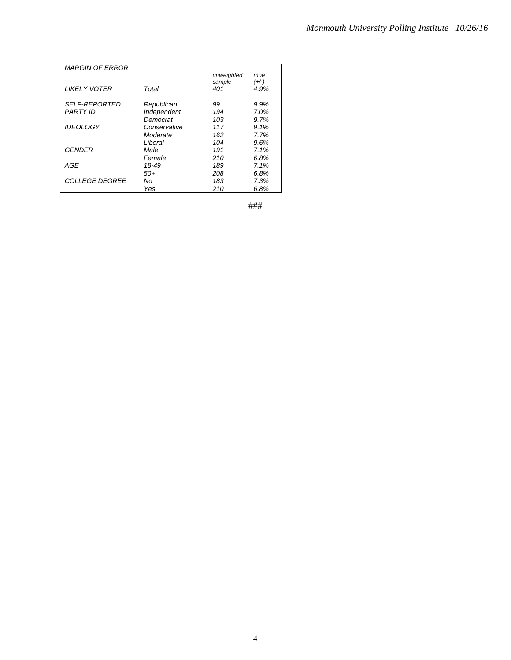| <b>MARGIN OF ERROR</b> |              |            |         |
|------------------------|--------------|------------|---------|
|                        |              | unweighted | moe     |
|                        |              | sample     | $(+/-)$ |
| <b>LIKELY VOTER</b>    | Total        | 401        | 4.9%    |
|                        |              |            |         |
| <b>SELF-REPORTED</b>   | Republican   | 99         | 9.9%    |
| <b>PARTY ID</b>        | Independent  | 194        | 7.0%    |
|                        | Democrat     | 103        | 9.7%    |
|                        |              |            |         |
| <b>IDEOLOGY</b>        | Conservative | 117        | 9.1%    |
|                        | Moderate     | 162        | 7.7%    |
|                        | Liberal      | 104        | 9.6%    |
| <b>GENDER</b>          | Male         | 191        | 7.1%    |
|                        | Female       | 210        | 6.8%    |
| AGE                    | 18-49        | 189        | 7.1%    |
|                        | $50+$        | 208        | 6.8%    |
| <b>COLLEGE DEGREE</b>  | No           | 183        | 7.3%    |
|                        | Yes          | 210        | 6.8%    |

###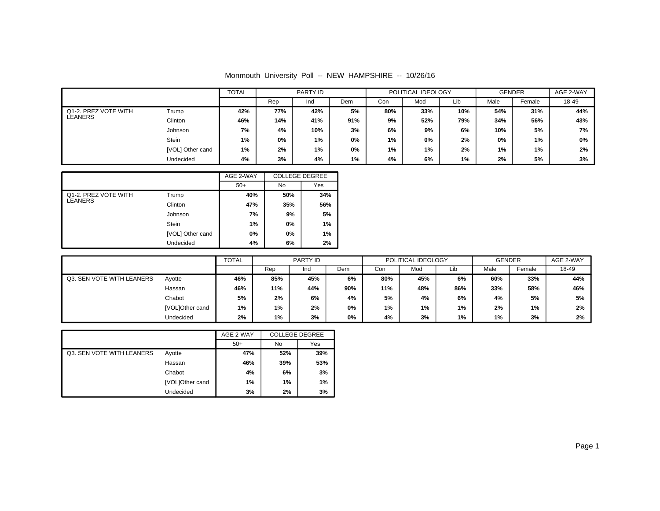|                      |                  | <b>TOTAL</b><br>PARTY ID |     | POLITICAL IDEOLOGY |            |     | <b>GENDER</b> |       | AGE 2-WAY |        |       |
|----------------------|------------------|--------------------------|-----|--------------------|------------|-----|---------------|-------|-----------|--------|-------|
|                      |                  |                          | Rep | Ind                | <b>Dem</b> | Con | Mod           | Lib   | Male      | Female | 18-49 |
| Q1-2. PREZ VOTE WITH | Trump            | 42%                      | 77% | 42%                | 5%         | 80% | 33%           | 10%   | 54%       | 31%    | 44%   |
| LEANERS              | Clinton          | 46%                      | 14% | 41%                | 91%        | 9%  | 52%           | 79%   | 34%       | 56%    | 43%   |
|                      | Johnson          | 7%                       | 4%  | 10%                | 3%         | 6%  | 9%            | 6%    | 10%       | 5%     | 7%    |
|                      | Stein            | 1%                       | 0%  | 1%                 | 0%         | 1%  | 0%            | 2%    | 0%        | 1%     | 0%    |
|                      | [VOL] Other cand | 1%                       | 2%  | 1%                 | 0%         | 1%  | 1%            | 2%    | 1%        | 1%     | 2%    |
|                      | Undecided        | 4%                       | 3%  | 4%                 | $1\%$      | 4%  | 6%            | $1\%$ | 2%        | 5%     | 3%    |

|                      |                  | AGE 2-WAY | <b>COLLEGE DEGREE</b> |     |
|----------------------|------------------|-----------|-----------------------|-----|
|                      |                  | $50+$     | No                    | Yes |
| Q1-2. PREZ VOTE WITH | Trump            | 40%       | 50%                   | 34% |
| LEANERS              | Clinton          | 47%       | 35%                   | 56% |
|                      | Johnson          | 7%        | 9%                    | 5%  |
|                      | <b>Stein</b>     | 1%        | 0%                    | 1%  |
|                      | [VOL] Other cand | 0%        | $0\%$                 | 1%  |
|                      | Undecided        | 4%        | 6%                    | 2%  |

|                           |                 | <b>TOTAL</b> |       | PARTY ID |     |     | POLITICAL IDEOLOGY |       |      | <b>GENDER</b> |       |
|---------------------------|-----------------|--------------|-------|----------|-----|-----|--------------------|-------|------|---------------|-------|
|                           |                 |              | Rep   | Ind      | Dem | Con | Mod                | Lib   | Male | Female        | 18-49 |
| Q3. SEN VOTE WITH LEANERS | Ayotte          | 46%          | 85%   | 45%      | 6%  | 80% | 45%                | 6%    | 60%  | 33%           | 44%   |
|                           | Hassan          | 46%          | 11%   | 44%      | 90% | 11% | 48%                | 86%   | 33%  | 58%           | 46%   |
|                           | Chabot          | 5%           | 2%    | 6%       | 4%  | 5%  | 4%                 | 6%    | 4%   | 5%            | 5%    |
|                           | [VOL]Other cand | 1%           | 1%    | 2%       | 0%  | 1%  | $1\%$              | $1\%$ | 2%   | 1%            | 2%    |
|                           | Undecided       | 2%           | $1\%$ | 3%       | 0%  | 4%  | 3%                 | 1%    | 1%   | 3%            | 2%    |

|                           |                 | AGE 2-WAY | <b>COLLEGE DEGREE</b> |     |
|---------------------------|-----------------|-----------|-----------------------|-----|
|                           |                 | $50+$     | No                    | Yes |
| Q3. SEN VOTE WITH LEANERS | Ayotte          | 47%       | 52%                   | 39% |
|                           | Hassan          | 46%       | 39%                   | 53% |
|                           | Chabot          | 4%        | 6%                    | 3%  |
|                           | [VOL]Other cand | 1%        | 1%                    | 1%  |
|                           | Undecided       | 3%        | 2%                    | 3%  |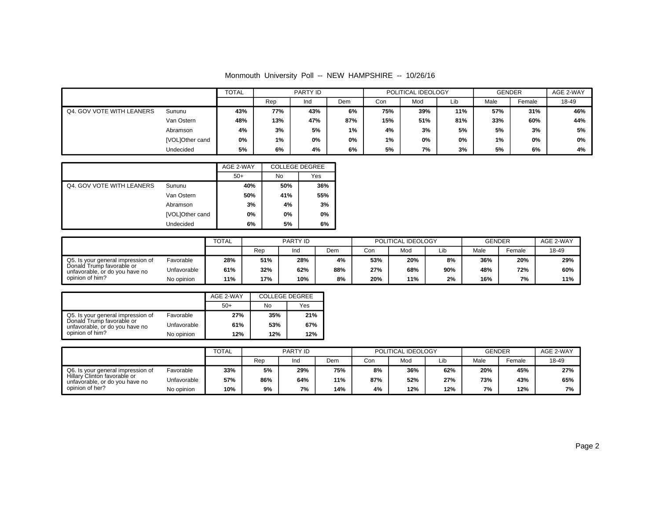|                           |                 | TOTAL |     | PARTY ID |     |     | POLITICAL IDEOLOGY |       | GENDER |        | AGE 2-WAY |
|---------------------------|-----------------|-------|-----|----------|-----|-----|--------------------|-------|--------|--------|-----------|
|                           |                 |       | Rep | Ind      | Dem | Con | Mod                | Lib   | Male   | Female | 18-49     |
| Q4. GOV VOTE WITH LEANERS | Sununu          | 43%   | 77% | 43%      | 6%  | 75% | 39%                | 11%   | 57%    | 31%    | 46%       |
|                           | Van Ostern      | 48%   | 13% | 47%      | 87% | 15% | 51%                | 81%   | 33%    | 60%    | 44%       |
|                           | Abramson        | 4%    | 3%  | 5%       | 1%  | 4%  | 3%                 | 5%    | 5%     | 3%     | 5%        |
|                           | [VOL]Other cand | 0%    | 1%  | 0%       | 0%  | 1%  | 0%                 | $0\%$ | 1%     | 0%     | 0%        |
|                           | Undecided       | 5%    | 6%  | 4%       | 6%  | 5%  | 7%                 | 3%    | 5%     | 6%     | 4%        |

|                           |                 | AGE 2-WAY | <b>COLLEGE DEGREE</b> |     |
|---------------------------|-----------------|-----------|-----------------------|-----|
|                           |                 | $50+$     | No                    | Yes |
| Q4. GOV VOTE WITH LEANERS | Sununu          | 40%       | 50%                   | 36% |
|                           | Van Ostern      | 50%       | 41%                   | 55% |
|                           | Abramson        | 3%        | 4%                    | 3%  |
|                           | [VOL]Other cand | 0%        | 0%                    | 0%  |
|                           | Undecided       | 6%        | 5%                    | 6%  |

|                                                             |             | <b>TOTAL</b> |     | <b>PARTY ID</b> |     |     | POLITICAL IDEOLOGY |     | <b>GENDER</b> |        | AGE 2-WAY |
|-------------------------------------------------------------|-------------|--------------|-----|-----------------|-----|-----|--------------------|-----|---------------|--------|-----------|
|                                                             |             |              | Rep | Ind             | Dem | Con | Mod                | Lib | Male          | Female | 18-49     |
| Q5. Is your general impression of                           | Favorable   | 28%          | 51% | 28%             | 4%  | 53% | 20%                | 8%  | 36%           | 20%    | 29%       |
| Donald Trump favorable or<br>unfavorable, or do you have no | Unfavorable | 61%          | 32% | 62%             | 88% | 27% | 68%                | 90% | 48%           | 72%    | 60%       |
| opinion of him?                                             | No opinion  | 11%          | 17% | 10%             | 8%  | 20% | 11%                | 2%  | 16%           | 7%     | 11%       |

|                                                             |             | AGE 2-WAY | <b>COLLEGE DEGREE</b> |     |
|-------------------------------------------------------------|-------------|-----------|-----------------------|-----|
|                                                             |             | $50+$     | No                    | Yes |
| Q5. Is your general impression of                           | Favorable   | 27%       | 35%                   | 21% |
| Donald Trump favorable or<br>unfavorable, or do you have no | Unfavorable | 61%       | 53%                   | 67% |
| opinion of him?                                             | No opinion  | 12%       | 12%                   | 12% |

|                                                                |             | TOTAL |     | PARTY ID |     |     | POLITICAL IDEOLOGY |     | <b>GENDER</b> |        | AGE 2-WAY |
|----------------------------------------------------------------|-------------|-------|-----|----------|-----|-----|--------------------|-----|---------------|--------|-----------|
|                                                                |             |       | Rep | Ind      | Dem | Con | Mod                | Lib | Male          | Female | 18-49     |
| Q6. Is your general impression of                              | Favorable   | 33%   | 5%  | 29%      | 75% | 8%  | 36%                | 62% | 20%           | 45%    | 27%       |
| Hillary Clinton favorable or<br>unfavorable, or do you have no | Unfavorable | 57%   | 86% | 64%      | 11% | 87% | 52%                | 27% | 73%           | 43%    | 65%       |
| opinion of her?                                                | No opinion  | 10%   | 9%  | 7%       | 14% | 4%  | 12%                | 12% | 7%            | 12%    | 7%        |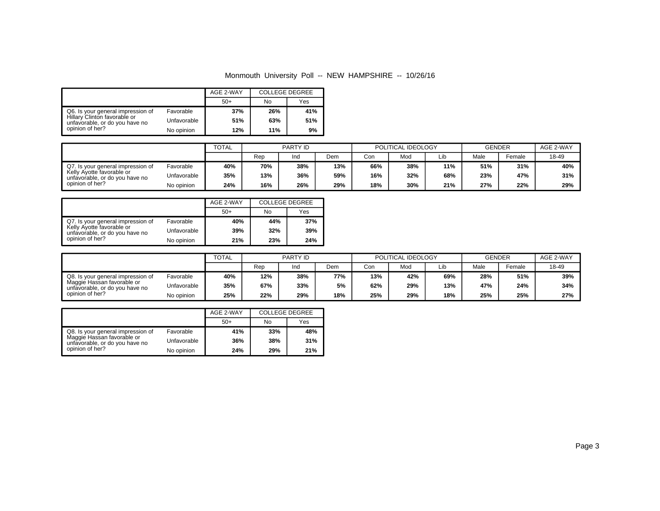|                                                                |             | AGE 2-WAY | <b>COLLEGE DEGREE</b> |     |
|----------------------------------------------------------------|-------------|-----------|-----------------------|-----|
|                                                                |             | $50+$     | No                    | Yes |
| Q6. Is your general impression of                              | Favorable   | 37%       | 26%                   | 41% |
| Hillary Clinton favorable or<br>unfavorable, or do you have no | Unfavorable | 51%       | 63%                   | 51% |
| opinion of her?                                                | No opinion  | 12%       | 11%                   | 9%  |

|                                                             |             | <b>TOTAL</b> |     | PARTY ID |     |     | POLITICAL IDEOLOGY |     | <b>GENDER</b> |        | AGE 2-WAY |
|-------------------------------------------------------------|-------------|--------------|-----|----------|-----|-----|--------------------|-----|---------------|--------|-----------|
|                                                             |             |              | Rep | Ind      | Dem | Con | Mod                |     | Male          | Female | 18-49     |
| Q7. Is your general impression of                           | Favorable   | 40%          | 70% | 38%      | 13% | 66% | 38%                | 11% | 51%           | 31%    | 40%       |
| Kelly Ayotte favorable or<br>unfavorable, or do you have no | Unfavorable | 35%          | 13% | 36%      | 59% | 16% | 32%                | 68% | 23%           | 47%    | 31%       |
| opinion of her?                                             | No opinion  | 24%          | 16% | 26%      | 29% | 18% | 30%                | 21% | 27%           | 22%    | 29%       |

|                                                             |             | AGE 2-WAY | <b>COLLEGE DEGREE</b> |     |
|-------------------------------------------------------------|-------------|-----------|-----------------------|-----|
|                                                             |             | $50+$     | No                    | Yes |
| Q7. Is your general impression of                           | Favorable   | 40%       | 44%                   | 37% |
| Kelly Ayotte favorable or<br>unfavorable, or do you have no | Unfavorable | 39%       | 32%                   | 39% |
| opinion of her?                                             | No opinion  | 21%       | 23%                   | 24% |

|                                                              |             | <b>TOTAL</b> | PARTY ID |     | POLITICAL IDEOLOGY |     |     | <b>GENDER</b> |      | AGE 2-WAY |       |
|--------------------------------------------------------------|-------------|--------------|----------|-----|--------------------|-----|-----|---------------|------|-----------|-------|
|                                                              |             |              | Rep      | Ind | Dem                | Con | Mod | Lib           | Male | Female    | 18-49 |
| Q8. Is your general impression of                            | Favorable   | 40%          | 12%      | 38% | 77%                | 13% | 42% | 69%           | 28%  | 51%       | 39%   |
| Maggie Hassan favorable or<br>unfavorable, or do you have no | Unfavorable | 35%          | 67%      | 33% | 5%                 | 62% | 29% | 13%           | 47%  | 24%       | 34%   |
| opinion of her?                                              | No opinion  | 25%          | 22%      | 29% | 18%                | 25% | 29% | 18%           | 25%  | 25%       | 27%   |

|                                                                                                                      |             | AGE 2-WAY | <b>COLLEGE DEGREE</b> |     |  |
|----------------------------------------------------------------------------------------------------------------------|-------------|-----------|-----------------------|-----|--|
|                                                                                                                      |             | $50+$     | No                    | Yes |  |
| Q8. Is your general impression of<br>Maggie Hassan favorable or<br>unfavorable, or do you have no<br>opinion of her? | Favorable   | 41%       | 33%                   | 48% |  |
|                                                                                                                      | Unfavorable | 36%       | 38%                   | 31% |  |
|                                                                                                                      | No opinion  | 24%       | 29%                   | 21% |  |